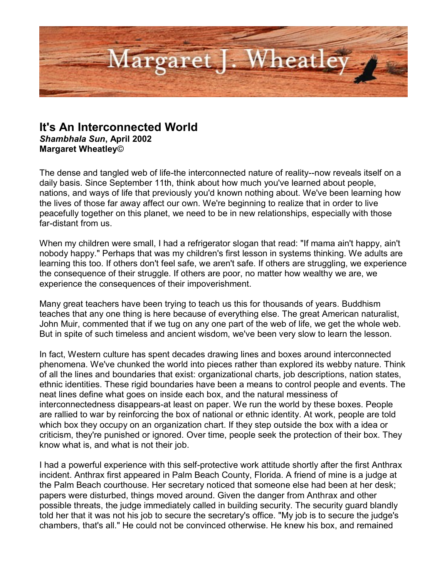

## **It's An Interconnected World**

*Shambhala Sun***, April 2002 Margaret Wheatley**©

The dense and tangled web of life-the interconnected nature of reality--now reveals itself on a daily basis. Since September 11th, think about how much you've learned about people, nations, and ways of life that previously you'd known nothing about. We've been learning how the lives of those far away affect our own. We're beginning to realize that in order to live peacefully together on this planet, we need to be in new relationships, especially with those far-distant from us.

When my children were small, I had a refrigerator slogan that read: "If mama ain't happy, ain't nobody happy." Perhaps that was my children's first lesson in systems thinking. We adults are learning this too. If others don't feel safe, we aren't safe. If others are struggling, we experience the consequence of their struggle. If others are poor, no matter how wealthy we are, we experience the consequences of their impoverishment.

Many great teachers have been trying to teach us this for thousands of years. Buddhism teaches that any one thing is here because of everything else. The great American naturalist, John Muir, commented that if we tug on any one part of the web of life, we get the whole web. But in spite of such timeless and ancient wisdom, we've been very slow to learn the lesson.

In fact, Western culture has spent decades drawing lines and boxes around interconnected phenomena. We've chunked the world into pieces rather than explored its webby nature. Think of all the lines and boundaries that exist: organizational charts, job descriptions, nation states, ethnic identities. These rigid boundaries have been a means to control people and events. The neat lines define what goes on inside each box, and the natural messiness of interconnectedness disappears-at least on paper. We run the world by these boxes. People are rallied to war by reinforcing the box of national or ethnic identity. At work, people are told which box they occupy on an organization chart. If they step outside the box with a idea or criticism, they're punished or ignored. Over time, people seek the protection of their box. They know what is, and what is not their job.

I had a powerful experience with this self-protective work attitude shortly after the first Anthrax incident. Anthrax first appeared in Palm Beach County, Florida. A friend of mine is a judge at the Palm Beach courthouse. Her secretary noticed that someone else had been at her desk; papers were disturbed, things moved around. Given the danger from Anthrax and other possible threats, the judge immediately called in building security. The security guard blandly told her that it was not his job to secure the secretary's office. "My job is to secure the judge's chambers, that's all." He could not be convinced otherwise. He knew his box, and remained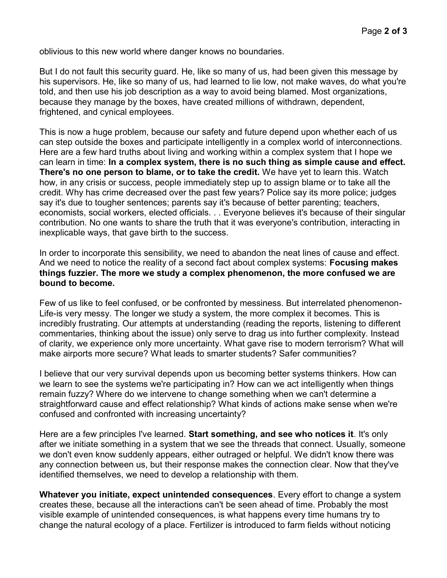oblivious to this new world where danger knows no boundaries.

But I do not fault this security guard. He, like so many of us, had been given this message by his supervisors. He, like so many of us, had learned to lie low, not make waves, do what you're told, and then use his job description as a way to avoid being blamed. Most organizations, because they manage by the boxes, have created millions of withdrawn, dependent, frightened, and cynical employees.

This is now a huge problem, because our safety and future depend upon whether each of us can step outside the boxes and participate intelligently in a complex world of interconnections. Here are a few hard truths about living and working within a complex system that I hope we can learn in time: **In a complex system, there is no such thing as simple cause and effect. There's no one person to blame, or to take the credit.** We have yet to learn this. Watch how, in any crisis or success, people immediately step up to assign blame or to take all the credit. Why has crime decreased over the past few years? Police say its more police; judges say it's due to tougher sentences; parents say it's because of better parenting; teachers, economists, social workers, elected officials. . . Everyone believes it's because of their singular contribution. No one wants to share the truth that it was everyone's contribution, interacting in inexplicable ways, that gave birth to the success.

In order to incorporate this sensibility, we need to abandon the neat lines of cause and effect. And we need to notice the reality of a second fact about complex systems: **Focusing makes things fuzzier. The more we study a complex phenomenon, the more confused we are bound to become.** 

Few of us like to feel confused, or be confronted by messiness. But interrelated phenomenon-Life-is very messy. The longer we study a system, the more complex it becomes. This is incredibly frustrating. Our attempts at understanding (reading the reports, listening to different commentaries, thinking about the issue) only serve to drag us into further complexity. Instead of clarity, we experience only more uncertainty. What gave rise to modern terrorism? What will make airports more secure? What leads to smarter students? Safer communities?

I believe that our very survival depends upon us becoming better systems thinkers. How can we learn to see the systems we're participating in? How can we act intelligently when things remain fuzzy? Where do we intervene to change something when we can't determine a straightforward cause and effect relationship? What kinds of actions make sense when we're confused and confronted with increasing uncertainty?

Here are a few principles I've learned. **Start something, and see who notices it**. It's only after we initiate something in a system that we see the threads that connect. Usually, someone we don't even know suddenly appears, either outraged or helpful. We didn't know there was any connection between us, but their response makes the connection clear. Now that they've identified themselves, we need to develop a relationship with them.

**Whatever you initiate, expect unintended consequences**. Every effort to change a system creates these, because all the interactions can't be seen ahead of time. Probably the most visible example of unintended consequences, is what happens every time humans try to change the natural ecology of a place. Fertilizer is introduced to farm fields without noticing